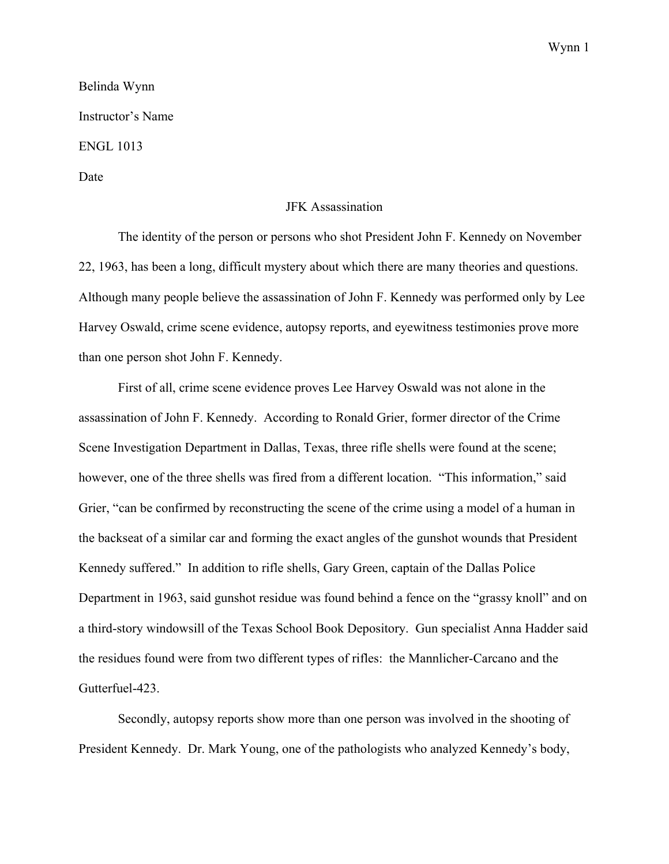Wynn 1

## Belinda Wynn Instructor's Name ENGL 1013 Date

## JFK Assassination

The identity of the person or persons who shot President John F. Kennedy on November 22, 1963, has been a long, difficult mystery about which there are many theories and questions. Although many people believe the assassination of John F. Kennedy was performed only by Lee Harvey Oswald, crime scene evidence, autopsy reports, and eyewitness testimonies prove more than one person shot John F. Kennedy.

First of all, crime scene evidence proves Lee Harvey Oswald was not alone in the assassination of John F. Kennedy. According to Ronald Grier, former director of the Crime Scene Investigation Department in Dallas, Texas, three rifle shells were found at the scene; however, one of the three shells was fired from a different location. "This information," said Grier, "can be confirmed by reconstructing the scene of the crime using a model of a human in the backseat of a similar car and forming the exact angles of the gunshot wounds that President Kennedy suffered." In addition to rifle shells, Gary Green, captain of the Dallas Police Department in 1963, said gunshot residue was found behind a fence on the "grassy knoll" and on a third-story windowsill of the Texas School Book Depository. Gun specialist Anna Hadder said the residues found were from two different types of rifles: the Mannlicher-Carcano and the Gutterfuel-423.

Secondly, autopsy reports show more than one person was involved in the shooting of President Kennedy. Dr. Mark Young, one of the pathologists who analyzed Kennedy's body,